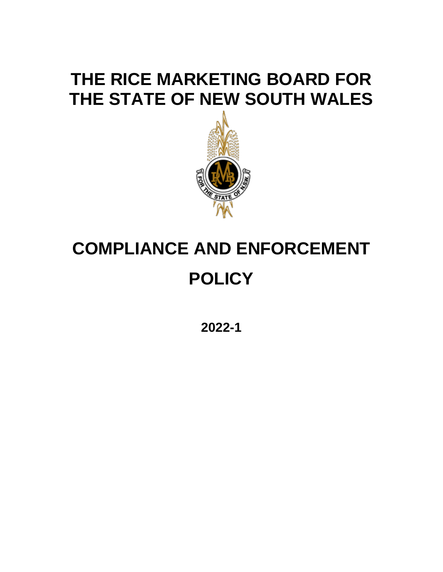## **THE RICE MARKETING BOARD FOR THE STATE OF NEW SOUTH WALES**



# **COMPLIANCE AND ENFORCEMENT POLICY**

**2022-1**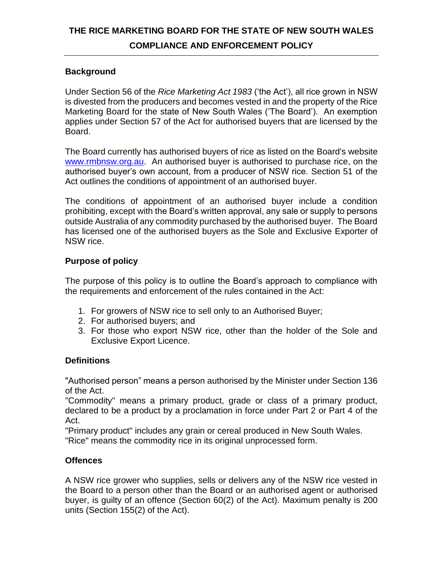### **THE RICE MARKETING BOARD FOR THE STATE OF NEW SOUTH WALES COMPLIANCE AND ENFORCEMENT POLICY**

#### **Background**

Under Section 56 of the *Rice Marketing Act 1983* ('the Act'), all rice grown in NSW is divested from the producers and becomes vested in and the property of the Rice Marketing Board for the state of New South Wales ('The Board'). An exemption applies under Section 57 of the Act for authorised buyers that are licensed by the Board.

The Board currently has authorised buyers of rice as listed on the Board's website [www.rmbnsw.org.au.](http://www.rmbnsw.org.au/) An authorised buyer is authorised to purchase rice, on the authorised buyer's own account, from a producer of NSW rice. Section 51 of the Act outlines the conditions of appointment of an authorised buyer.

The conditions of appointment of an authorised buyer include a condition prohibiting, except with the Board's written approval, any sale or supply to persons outside Australia of any commodity purchased by the authorised buyer. The Board has licensed one of the authorised buyers as the Sole and Exclusive Exporter of NSW rice.

#### **Purpose of policy**

The purpose of this policy is to outline the Board's approach to compliance with the requirements and enforcement of the rules contained in the Act:

- 1. For growers of NSW rice to sell only to an Authorised Buyer;
- 2. For authorised buyers; and
- 3. For those who export NSW rice, other than the holder of the Sole and Exclusive Export Licence.

#### **Definitions**

"Authorised person" means a person authorised by the Minister under Section 136 of the Act.

"Commodity" means a primary product, grade or class of a primary product, declared to be a product by a proclamation in force under Part 2 or Part 4 of the Act.

"Primary product" includes any grain or cereal produced in New South Wales. "Rice" means the commodity rice in its original unprocessed form.

#### **Offences**

A NSW rice grower who supplies, sells or delivers any of the NSW rice vested in the Board to a person other than the Board or an authorised agent or authorised buyer, is guilty of an offence (Section 60(2) of the Act). Maximum penalty is 200 units (Section 155(2) of the Act).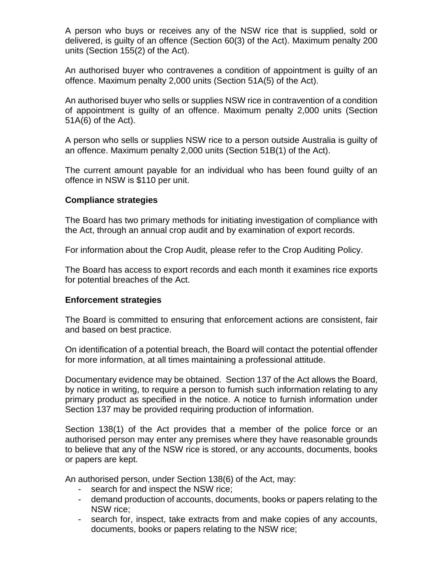A person who buys or receives any of the NSW rice that is supplied, sold or delivered, is guilty of an offence (Section 60(3) of the Act). Maximum penalty 200 units (Section 155(2) of the Act).

An authorised buyer who contravenes a condition of appointment is guilty of an offence. Maximum penalty 2,000 units (Section 51A(5) of the Act).

An authorised buyer who sells or supplies NSW rice in contravention of a condition of appointment is guilty of an offence. Maximum penalty 2,000 units (Section 51A(6) of the Act).

A person who sells or supplies NSW rice to a person outside Australia is guilty of an offence. Maximum penalty 2,000 units (Section 51B(1) of the Act).

The current amount payable for an individual who has been found guilty of an offence in NSW is \$110 per unit.

#### **Compliance strategies**

The Board has two primary methods for initiating investigation of compliance with the Act, through an annual crop audit and by examination of export records.

For information about the Crop Audit, please refer to the Crop Auditing Policy.

The Board has access to export records and each month it examines rice exports for potential breaches of the Act.

#### **Enforcement strategies**

The Board is committed to ensuring that enforcement actions are consistent, fair and based on best practice.

On identification of a potential breach, the Board will contact the potential offender for more information, at all times maintaining a professional attitude.

Documentary evidence may be obtained. Section 137 of the Act allows the Board, by notice in writing, to require a person to furnish such information relating to any primary product as specified in the notice. A notice to furnish information under Section 137 may be provided requiring production of information.

Section 138(1) of the Act provides that a member of the police force or an authorised person may enter any premises where they have reasonable grounds to believe that any of the NSW rice is stored, or any accounts, documents, books or papers are kept.

An authorised person, under Section 138(6) of the Act, may:

- search for and inspect the NSW rice;
- demand production of accounts, documents, books or papers relating to the NSW rice;
- search for, inspect, take extracts from and make copies of any accounts, documents, books or papers relating to the NSW rice;